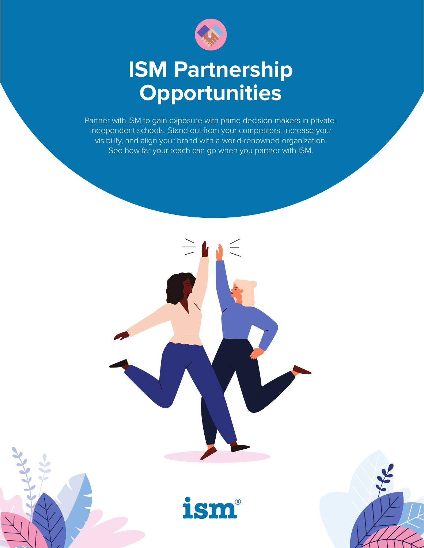

# **ISM Partnership Opportunities**

Partner with ISM to gain exposure with prime decision-makers in privateindependent schools. Stand out from your competitors, increase your visibility, and align your brand with a world-renowned organization. See how far your reach can go when you partner with ISM.



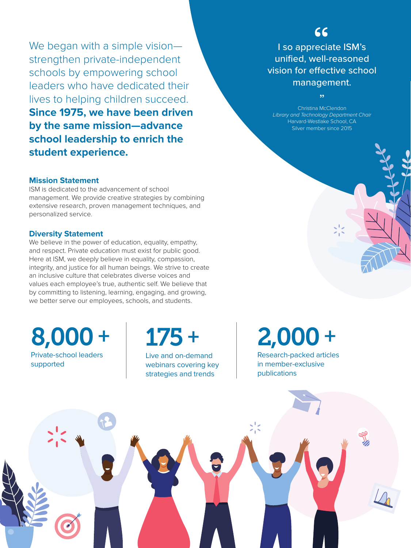We began with a simple visionstrengthen private-independent schools by empowering school leaders who have dedicated their lives to helping children succeed. **Since 1975, we have been driven by the same mission—advance school leadership to enrich the student experience.**

#### **Mission Statement**

ISM is dedicated to the advancement of school management. We provide creative strategies by combining extensive research, proven management techniques, and personalized service.

#### **Diversity Statement**

We believe in the power of education, equality, empathy, and respect. Private education must exist for public good. Here at ISM, we deeply believe in equality, compassion, integrity, and justice for all human beings. We strive to create an inclusive culture that celebrates diverse voices and values each employee's true, authentic self. We believe that by committing to listening, learning, engaging, and growing, we better serve our employees, schools, and students.

8,000 + Private-school leaders supported

175 + Live and on-demand

webinars covering key strategies and trends

I so appreciate ISM's unified, well-reasoned vision for effective school management.

 $66$ 

Christina McClendon *Library and Technology Department Chair* Harvard-Westlake School, CA Silver member since 2015

 $55$ 

2,000 +

Research-packed articles in member-exclusive publications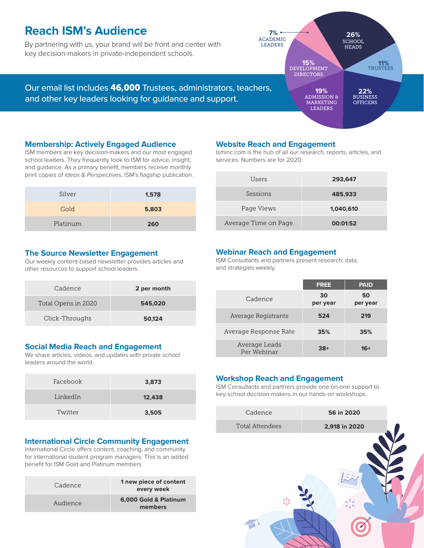### **Reach ISM's Audience**

By partnering with us, your brand will be front and center with key decision-makers in private-independent schools.

ACADEMIC LEADERS **7%**

> DEVELOPMENT **15%** DIRECTORS

ADMISSION & MARKETING **LEADERS** 

**19%**

TRUSTEES **11%**

BUSINESS **22% OFFICERS** 

**SCHOOL HEADS** 

**26%**

Our email list includes 46,000 Trustees, administrators, teachers, and other key leaders looking for guidance and support.

#### **Membership: Actively Engaged Audience**

ISM members are key decision-makers and our most engaged school leaders. They frequently look to ISM for advice, insight, and guidance. As a primary benefit, members receive monthly print copies of *Ideas & Perspectives*, ISM's flagship publication.

| Silver   | 1,578 |
|----------|-------|
| Gold     | 5,803 |
| Platinum | 260   |

#### **Website Reach and Engagement**

Isminc.com is the hub of all our research, reports, articles, and services. Numbers are for 2020.

| Users                | 293,647   |
|----------------------|-----------|
| Sessions             | 485,933   |
| Page Views           | 1,040,610 |
| Average Time on Page | 00:01:52  |

#### **The Source Newsletter Engagement**

Our weekly content-based newsletter provides articles and other resources to support school leaders.

| Cadence             | 2 per month |
|---------------------|-------------|
| Total Opens in 2020 | 545,020     |
| Click-Throughs      | 50.124      |

#### **Social Media Reach and Engagement**

We share articles, videos, and updates with private school leaders around the world.

| Facebook | 3,873  |
|----------|--------|
| LinkedIn | 12,438 |
| Twitter  | 3,505  |

#### **International Circle Community Engagement**

International Circle offers content, coaching, and community for international student program managers. This is an added benefit for ISM Gold and Platinum members.

| Cadence  | 1 new piece of content<br>every week |
|----------|--------------------------------------|
| Audience | 6,000 Gold & Platinum<br>members     |

#### **Webinar Reach and Engagement**

ISM Consultants and partners present research, data, and strategies weekly.

|                              | <b>FREE</b>    | <b>PAID</b>    |
|------------------------------|----------------|----------------|
| Cadence                      | 30<br>per year | 50<br>per year |
| Average Registrants          | 524            | 219            |
| Average Response Rate        | 35%            | 35%            |
| Average Leads<br>Per Webinar | $38+$          | $16+$          |

#### **Workshop Reach and Engagement**

ISM Consultants and partners provide one-on-one support to key school decision-makers in our hands-on workshops.

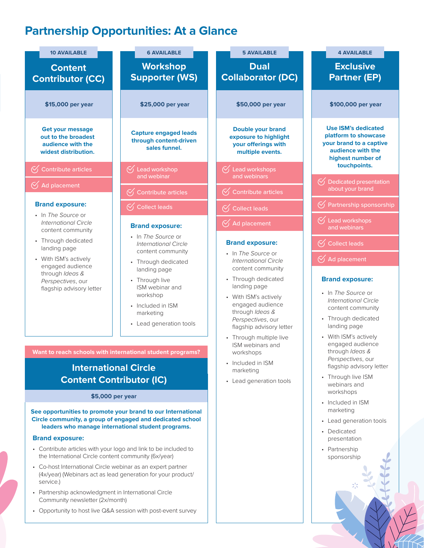# **Partnership Opportunities: At a Glance**

| <b>10 AVAILABLE</b>                                                                                                           | <b>6 AVAILABLE</b>                                                                                         | <b>5 AVAILABLE</b>                                                                                                                                                              | <b>4 AVAILABLE</b>                                                                                                                                               |  |  |
|-------------------------------------------------------------------------------------------------------------------------------|------------------------------------------------------------------------------------------------------------|---------------------------------------------------------------------------------------------------------------------------------------------------------------------------------|------------------------------------------------------------------------------------------------------------------------------------------------------------------|--|--|
| <b>Content</b><br><b>Contributor (CC)</b>                                                                                     | <b>Workshop</b><br><b>Supporter (WS)</b>                                                                   | <b>Dual</b><br><b>Collaborator (DC)</b>                                                                                                                                         | <b>Exclusive</b><br><b>Partner (EP)</b>                                                                                                                          |  |  |
| \$15,000 per year                                                                                                             | \$25,000 per year                                                                                          | \$50,000 per year                                                                                                                                                               | \$100,000 per year                                                                                                                                               |  |  |
| <b>Get your message</b><br>out to the broadest<br>audience with the<br>widest distribution.                                   | <b>Capture engaged leads</b><br>through content-driven<br>sales funnel.                                    | <b>Double your brand</b><br>exposure to highlight<br>your offerings with<br>multiple events.                                                                                    | <b>Use ISM's dedicated</b><br>platform to showcase<br>your brand to a captive<br>audience with the<br>highest number of                                          |  |  |
| $\bigotimes$ Contribute articles                                                                                              | $\bigcirc$ Lead workshop<br>and webinar                                                                    | $\bigcirc$ Lead workshops<br>and webinars                                                                                                                                       | touchpoints.                                                                                                                                                     |  |  |
| $\bigotimes$ Ad placement                                                                                                     | $\bigotimes$ Contribute articles                                                                           | $\bigotimes$ Contribute articles                                                                                                                                                | $\bigcirc$ Dedicated presentation<br>about your brand                                                                                                            |  |  |
| <b>Brand exposure:</b>                                                                                                        |                                                                                                            |                                                                                                                                                                                 | $\bigcirc$ Partnership sponsorship                                                                                                                               |  |  |
| • In The Source or                                                                                                            | $\bigotimes$ Collect leads                                                                                 | $\bigotimes$ Collect leads                                                                                                                                                      |                                                                                                                                                                  |  |  |
| <b>International Circle</b><br>content community                                                                              | <b>Brand exposure:</b>                                                                                     | $\bigotimes$ Ad placement                                                                                                                                                       | $\bigcirc$ Lead workshops<br>and webinars                                                                                                                        |  |  |
| • Through dedicated                                                                                                           | • In The Source or<br><b>International Circle</b>                                                          | <b>Brand exposure:</b>                                                                                                                                                          | $\bigotimes$ Collect leads                                                                                                                                       |  |  |
| landing page<br>• With ISM's actively<br>engaged audience<br>through Ideas &<br>Perspectives, our<br>flagship advisory letter | content community                                                                                          | • In The Source or<br><b>International Circle</b><br>content community                                                                                                          | $\bigotimes$ Ad placement                                                                                                                                        |  |  |
|                                                                                                                               | • Through dedicated<br>landing page                                                                        |                                                                                                                                                                                 |                                                                                                                                                                  |  |  |
|                                                                                                                               | • Through live<br>ISM webinar and<br>workshop<br>• Included in ISM<br>marketing<br>• Lead generation tools | • Through dedicated<br>landing page<br>• With ISM's actively<br>engaged audience<br>through Ideas &<br>Perspectives, our<br>flagship advisory letter<br>• Through multiple live | <b>Brand exposure:</b><br>• In The Source or<br><b>International Circle</b><br>content community<br>• Through dedicated<br>landing page<br>• With ISM's actively |  |  |
|                                                                                                                               |                                                                                                            | ISM webinars and                                                                                                                                                                | engaged audience<br>through Ideas &                                                                                                                              |  |  |
|                                                                                                                               | Want to reach schools with international student programs?                                                 | workshops<br>• Included in ISM                                                                                                                                                  | Perspectives, our<br>flagship advisory letter                                                                                                                    |  |  |
| <b>International Circle</b><br><b>Content Contributor (IC)</b><br>\$5,000 per year                                            |                                                                                                            | marketing<br>• Lead generation tools                                                                                                                                            | • Through live ISM<br>webinars and<br>workshops                                                                                                                  |  |  |
|                                                                                                                               | See opportunities to promote your brand to our International                                               |                                                                                                                                                                                 | • Included in ISM<br>marketing                                                                                                                                   |  |  |
|                                                                                                                               | Circle community, a group of engaged and dedicated school                                                  |                                                                                                                                                                                 | • Lead generation tools                                                                                                                                          |  |  |
| <b>Brand exposure:</b>                                                                                                        | leaders who manage international student programs.                                                         |                                                                                                                                                                                 | • Dedicated<br>presentation                                                                                                                                      |  |  |
| • Contribute articles with your logo and link to be included to<br>the International Circle content community (6x/year)       |                                                                                                            |                                                                                                                                                                                 | • Partnership<br>sponsorship                                                                                                                                     |  |  |
| • Co-host International Circle webinar as an expert partner<br>service.)                                                      | (4x/year) (Webinars act as lead generation for your product/                                               |                                                                                                                                                                                 |                                                                                                                                                                  |  |  |
| • Partnership acknowledgment in International Circle<br>Community newsletter (2x/month)                                       |                                                                                                            |                                                                                                                                                                                 |                                                                                                                                                                  |  |  |
| • Opportunity to host live Q&A session with post-event survey                                                                 |                                                                                                            |                                                                                                                                                                                 |                                                                                                                                                                  |  |  |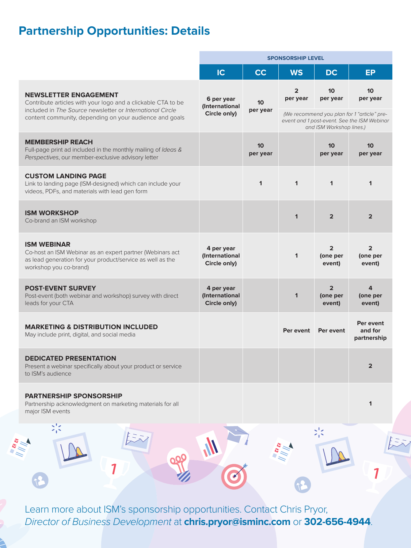## **Partnership Opportunities: Details**

|                                                                                                                                                                                                                      | <b>SPONSORSHIP LEVEL</b>                     |                             |                            |                                            |                                                                                                                           |
|----------------------------------------------------------------------------------------------------------------------------------------------------------------------------------------------------------------------|----------------------------------------------|-----------------------------|----------------------------|--------------------------------------------|---------------------------------------------------------------------------------------------------------------------------|
|                                                                                                                                                                                                                      | IC                                           | <b>CC</b>                   | <b>WS</b>                  | <b>DC</b>                                  | <b>EP</b>                                                                                                                 |
| <b>NEWSLETTER ENGAGEMENT</b><br>Contribute articles with your logo and a clickable CTA to be<br>included in The Source newsletter or International Circle<br>content community, depending on your audience and goals | 6 per year<br>(International<br>Circle only) | 10 <sup>1</sup><br>per year | $\overline{2}$<br>per year | 10<br>per year                             | 10 <sup>°</sup><br>per year<br>(We recommend you plan for 1 "article" pre-<br>event and 1 post-event. See the ISM Webinar |
| <b>MEMBERSHIP REACH</b><br>Full-page print ad included in the monthly mailing of Ideas &<br>Perspectives, our member-exclusive advisory letter                                                                       |                                              | 10<br>per year              |                            | and ISM Workshop lines.)<br>10<br>per year | 10 <sup>10</sup><br>per year                                                                                              |
| <b>CUSTOM LANDING PAGE</b><br>Link to landing page (ISM-designed) which can include your<br>videos, PDFs, and materials with lead gen form                                                                           |                                              | $\mathbf 1$                 | $\mathbf{1}$               | $\mathbf{1}$                               | $\mathbf{1}$                                                                                                              |
| <b>ISM WORKSHOP</b><br>Co-brand an ISM workshop                                                                                                                                                                      |                                              |                             | $\mathbf{1}$               | $\overline{2}$                             | $\overline{2}$                                                                                                            |
| <b>ISM WEBINAR</b><br>Co-host an ISM Webinar as an expert partner (Webinars act<br>as lead generation for your product/service as well as the<br>workshop you co-brand)                                              | 4 per year<br>(International<br>Circle only) |                             | $\mathbf{1}$               | $\overline{2}$<br>(one per<br>event)       | $\overline{2}$<br>(one per<br>event)                                                                                      |
| <b>POST-EVENT SURVEY</b><br>Post-event (both webinar and workshop) survey with direct<br>leads for your CTA                                                                                                          | 4 per year<br>(International<br>Circle only) |                             | $\mathbf 1$                | $\overline{2}$<br>(one per<br>event)       | 4<br>(one per<br>event)                                                                                                   |
| <b>MARKETING &amp; DISTRIBUTION INCLUDED</b><br>May include print, digital, and social media                                                                                                                         |                                              |                             | Per event                  | Per event                                  | Per event<br>and for<br>partnership                                                                                       |
| <b>DEDICATED PRESENTATION</b><br>Present a webinar specifically about your product or service<br>to ISM's audience                                                                                                   |                                              |                             |                            |                                            | $\overline{2}$                                                                                                            |
| <b>PARTNERSHIP SPONSORSHIP</b><br>Partnership acknowledgment on marketing materials for all<br>major ISM events                                                                                                      |                                              |                             |                            |                                            | 1                                                                                                                         |
| $\frac{1}{2}$                                                                                                                                                                                                        |                                              |                             |                            | いく                                         |                                                                                                                           |
|                                                                                                                                                                                                                      |                                              |                             |                            |                                            |                                                                                                                           |
|                                                                                                                                                                                                                      |                                              |                             |                            |                                            |                                                                                                                           |

Learn more about ISM's sponsorship opportunities. Contact Chris Pryor, *Director of Business Development* at **chris.pryor@isminc.com** or **302-656-4944**.